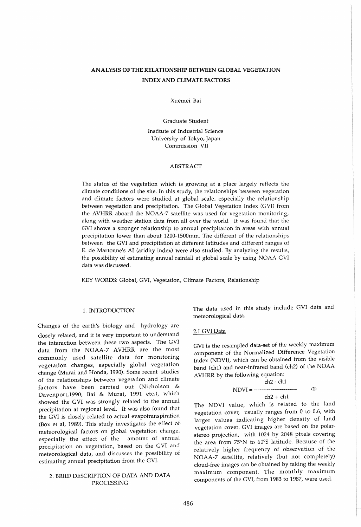# AN ALYSIS OF THE RELATIONSHIP BETWEEN GLOBAL VEGETATION INDEX AND CLIMATE FACTORS

Xuemei Bai

Graduate Student

Institute of Industrial Science University of Tokyo, Japan Commission VII

# ABSTRACT

The status of the vegetation which is growing at a place largely reflects the climate conditions of the site. In this study, the relationships between vegetation and climate factors were studied at global scale, especially the relationship between vegetation and precipitation. The Global Vegetation Index (GVI) from the AVHRR aboard the NOAA-7 satellite was used for vegetation monitoring, along with weather station data from all over the world. It was found that the GVI shows a stronger relationship to annual precipitation in areas with annual precipitation lower than about 1200-1500mm. The different of the relationships between the GVI and precipitation at different latitudes and different ranges of E. de Martonne's AI (aridity index) were also studied. By analyzing the results, the possibility of estimating annual rainfall at global scale by using NOAA GVI data was discussed.

KEY WORDS: Global, GVI, Vegetation, Climate Factors, Relationship

## 1. INTRODUCTION

Changes of the earth's biology and hydrology are closely related, and it is very important to understand the interaction between these two aspects. The GVI data from the NOAA-7 AVHRR are the most commonly used satellite data for monitoring vegetation changes, especially global vegetation change (Murai and Honda, 1990). Some recent studies of the relationships between vegetation and climate factors have been carried out (Nicholson & Davenport,1990; Bai & Murai, 1991 etc.), which showed the GVI was strongly related to the annual precipitation at regional level. It was also found that the GVI is closely related to actual evapotranspiration (Box et aI, 1989). This study investigates the effect of meteorological factors on global vegetation change, especially the effect of the amount of annual precipitation on vegetation, based on the GVI and meteorological data, and discusses the possibility of estimating annual precipitation from the GVI.

# 2. BRIEF DESCRIPTION OF DATA AND DATA PROCESSING

The data used in this study include GVI data and meteorological data.

# 2.1 GVI Data

GVI is the resampled data-set of the weekly maximum component of the Normalized Difference Vegetation Index (NDVI), which can be obtained from the visible band (chI) and near-infrared band (ch2) of the NOAA AVHRR by the following equation:

ch2 - ch1  
NDVI = 
$$
....
$$
  
ch2 + ch1

The NDVI value, which is related to the land vegetation cover, usually ranges from 0 to 0.6, with larger values indicating higher density of land vegetation cover. GVI images are based on the polarstereo projection, with 1024 by 2048 pixels covering the area from 75°N to 60°5 latitude. Because of the relatively higher frequency of observation of the NOAA-7 satellite, relatively (but not completely) cloud-free images can be obtained by taking the weekly maximum component. The monthly maximum components of the GVI, from 1983 to 1987, were used.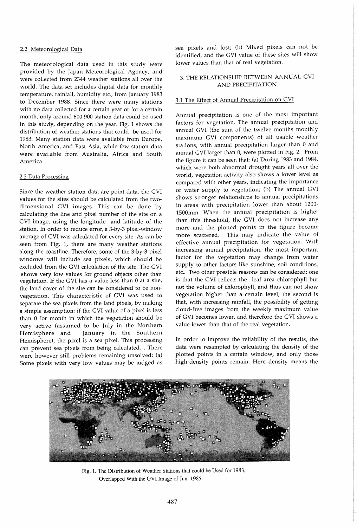# 2.2 Meteorological Data

The meteorological data used in this study were provided by the Japan Meteorological Agency, and were collected from 2344 weather stations all over the world. The data-set includes digital data for monthly temperature, rainfall, humidity etc., from January 1983 to December 1988. Since there were many stations with no data collected for a certain year or for a certain month, only around 600-900 station data could be used in this study, depending on the year. Fig. 1 shows the distribution of weather stations that could be used for 1983. Many station data were available from Europe, North America, and East Asia, while few station data were available from Australia, Africa and South America.

#### 2.3 Data Processing

Since the weather station data are point data, the GVI values for the sites should be calculated from the twodimensional GVI images. This can be done by calculating the line and pixel number of the site on a GVI image, using the longitude and latitude of the station. In order to reduce error, a 3-by-3 pixel-window average of GVI was calculated for every site. As can be seen from Fig. 1, there are many weather stations along the coastline. Therefore, some of the 3-by-3 pixel windows will include sea pixels, which should be excluded from the GVI calculation of the site. The GVI shows very low values for ground objects other than vegetation. If the GVI has a value less than 0 at a site, the land cover of the site can be considered to be nonvegetation. This characteristic of GVI was used to separate the sea pixels from the land pixels, by making a simple assumption: if the GVI value of a pixel is less than 0 for month in which the vegetation should be very active (assumed to be July in the Northern Hemisphere and January in the Southern Hemisphere), the pixel is a sea pixel. This processing can prevent sea pixels from being calculated. , There were however still problems remaining unsolved: (a) Some pixels with very low values may be judged as sea pixels and lost; (b) Mixed pixels can not be identified, and the GVI value of these sites will show lower values than that of real vegetation.

# 3. THE RELATIONSHIP BETWEEN ANNUAL GVI AND PRECIPITATION

# 3.1 The Effect of Annual Precipitation on GVI

Annual precipitation is one of the most important factors for vegetation. The annual precipitation and annual GVI (the sum of the twelve months monthly maximum GVI components) of all usable weather stations, with annual precipitation larger than 0 and annual GVI larger than 0, were plotted in Fig. 2. From the figure it can be seen that: (a) During 1983 and 1984, which were both abnormal drought years all over the world, vegetation activity also shows a lower level as compared with other years, indicating the importance of water supply to vegetation; (b) The annual GVI shows stronger relationships to annual precipitations in areas with precipitation lower than about 1200- 1500mm. When the annual precipitation is higher than this threshold, the GVI does not increase any more and the plotted points in the figure become more scattered. This may indicate the value of effective annual precipitation for vegetation. With increasing annual precipitation, the most important factor for the vegetation may change from water supply to other factors like sunshine, soil conditions, etc.. Two other possible reasons can be considered: one is that the GVI reflects the leaf area chlorophyll but not the volume of chlorophyll, and thus can not show vegetation higher than a certain level; the second is that, with increasing rainfall, the possibility of getting cloud-free images from the weekly maximum value of GVI becomes lower, and therefore the GVI shows a value lower than that of the real vegetation.

In order to improve the reliability of the results, the data were resampled by calculating the density of the plotted points in a certain window, and only those high-density points remain. Here density means the



Fig. 1. The Distribution of Weather Stations that could be Used for 1983, Overlapped With the GVI Image of Jun. 1985.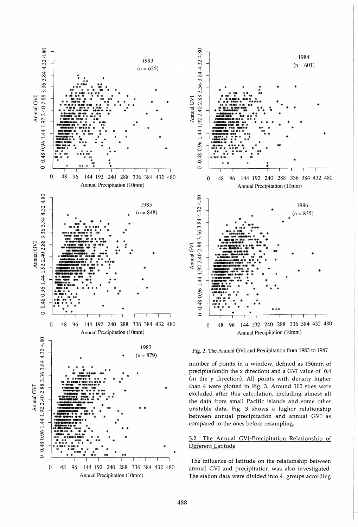



Fig. 2. The Annual GVI and Precipitation from 1983 to 1987

number of points in a window, defined as 150mm of precipitation(in the x direction) and a GVI value of 0.4 (in the y direction). All points with density higher than 4 were plotted in Fig. 3. Around 100 sites were excluded after this calculation, including almost all the data from small Pacific islands and some other unstable data. Fig. 3 shows a higher relationship between annual precipitation and annual GVI as compared to the ones before resampling.

#### $3.2$ The Annual GVI-Precipitation Relationship of Different Latitude

The influence of latitude on the relationship between annual GVI and precipitation was also investigated. The station data were divided into 4 groups according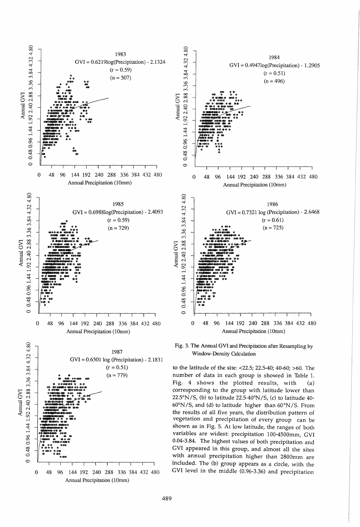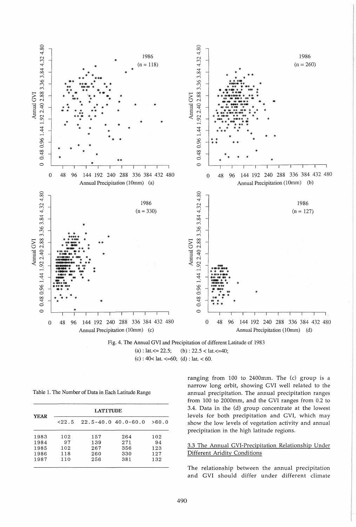

Fig. 4. The Annual GVI and Precipitation of different Latitude of 1983 (a) : lat.  $\leq$  22.5; (b) : 22.5  $\lt$  lat.  $\lt$  =40; (c) :  $40 <$  lat.  $\leq 60$ ; (d) : lat.  $< 60$ .

|  |  |  |  |  |  |  |  | Table 1. The Number of Data in Each Latitude Range |  |
|--|--|--|--|--|--|--|--|----------------------------------------------------|--|
|--|--|--|--|--|--|--|--|----------------------------------------------------|--|

| <b>LATITUDE</b> |     |     |                         |  |  |  |  |
|-----------------|-----|-----|-------------------------|--|--|--|--|
| < 22.5          |     |     | >60.0                   |  |  |  |  |
| 102             | 157 | 264 | 102                     |  |  |  |  |
| 97              | 139 | 271 | 94                      |  |  |  |  |
| 102             | 267 | 356 | 123                     |  |  |  |  |
| 118             | 260 | 330 | 127                     |  |  |  |  |
| 110             | 256 | 381 | 132                     |  |  |  |  |
|                 |     |     | $22.5 - 40.0$ 40.0-60.0 |  |  |  |  |

ranging from 100 to 2400mm. The (c) group is a narrow long orbit, showing GVI well related to the annual precipitation. The annual precipitation ranges from 100 to 2000mm, and the GVI ranges from 0.2 to 3.4. Data in the (d) group concentrate at the lowest levels for both precipitation and GVI, which may show the low levels of vegetation activity and annual precipitation in the high latitude regions.

# 3.3 The Annual GVI-Precipitation Relationship Under Different Aridity Conditions

The relationship between the annual precipitation and GVI should differ under different climate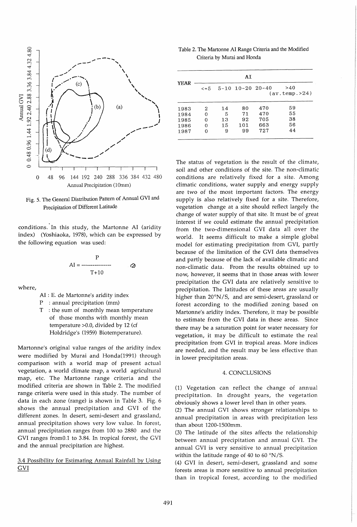

Fig. 5. The General Distribution Pattern of Annual GVI and Precipitation of Different Latitude

conditions.' In this study, the Martonne AI (aridity index) (Yoshiaoka, 1978), which can be expressed by the following equation was used:

$$
AI = \frac{P}{T+10}
$$

where,

AI : E. de Martonne's aridity index

P : annual precipitation (mm)

T : the sum of monthly mean temperature of those months with monthly mean temperature  $>0.0$ , divided by 12 (cf Holdridge'S (1959) Biotemperature).

Martonne's original value ranges of the aridity index were modified by Murai and Honda(1991) through comparison with a world map of present actual vegetation, a world climate map, a world agricultural map, etc. The Martonne range criteria and the modified criteria are shown in Table 2. The modified range criteria were used in this study. The number of data in each zone (range) is shown in Table 3. Fig. 6 shows the annual precipitation and GVI of the different zones. In desert, semi-desert and grassland, annual precipitation shows very low value. In forest, annual precipitation ranges from 100 to 2880 and the GVI ranges fromO.l to 3.84. In tropical forest, the GVI and the annual precipitation are highest.

3.4 Possibility for Estimating Annual Rainfall by Using GVI

Table 2. The Martonne AI Range Criteria and the Modified Criteria by Murai and Honda

|      | AI         |    |                    |     |                       |  |  |  |
|------|------------|----|--------------------|-----|-----------------------|--|--|--|
| YEAR | $\leq$ = 5 |    | $5-10$ 10-20 20-40 |     | >40<br>(av.temp. >24) |  |  |  |
| 1983 | 2          | 14 | 80                 | 470 | 59                    |  |  |  |
| 1984 | 0          | 5  | 71                 | 470 | 55                    |  |  |  |
| 1985 | 0          | 13 | 92                 | 705 | 38                    |  |  |  |
| 1986 | 0          | 15 | 101                | 663 | 56                    |  |  |  |
| 1987 | Ω          | 9  | 99                 | 727 | 44                    |  |  |  |

The status of vegetation is the result of the climate, soil and other conditions of the site. The non-climatic conditions are relatively fixed for a site. Among climatic conditions, water supply and energy supply are two of the most important factors. The energy supply is also relatively fixed for a site. Therefore, vegetation change at a site should reflect largely the change of water supply of that site. It must be of great interest if we could estimate the annual precipitation from the two-dimensional GVI data all over the world. It seems difficult to make a simple global model for estimating precipitation from GVI, partly because of the limitation of the GVI data themselves and partly because of the lack of available climatic and non-climatic data. From the results obtained up to now, however, it seems that in those areas with lower precipitation the GVI data are relatively sensitive to precipitation. The latitudes of these areas are usually higher than  $20^{\circ}$ N/S, and are semi-desert, grassland or forest according to the modified zoning based on Martonne's aridity index. Therefore, it may be possible to estimate from the GVI data in these areas. Since there may be a saturation point for water necessary for vegetation, it may be difficult to estimate the real precipitation from GVI in tropical areas. More indices are needed, and the result may be less effective than in lower precipitation areas.

#### 4. CONCLUSIONS

(1) Vegetation can reflect the change of annual precipitation. In drought years, the vegetation obviously shows a lower level than in other years.

(2) The annual GVI shows stronger relationships to annual precipitation in areas with precipitation less than about 1200-1500mm.

(3) The latitude of the sites affects the relationship between annual precipitation and annual GVI. The annual GVI is very sensitive to annual precipitation within the latitude range of 40 to 60  $\degree\text{N/S}$ .

(4) GVI in desert, semi-desert, grassland and some forests areas is more sensitive to annual precipitation than in tropical forest, according to the modified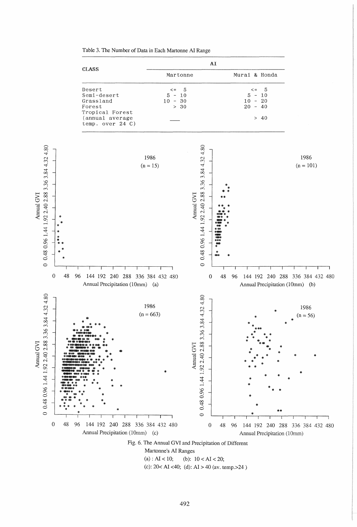

Table 3. The Number of Data in Each Martonne AI Range

Annual GVI

Annual GVI

(c):  $20 < AI < 40$ ; (d):  $AI > 40$  (av. temp. > 24)